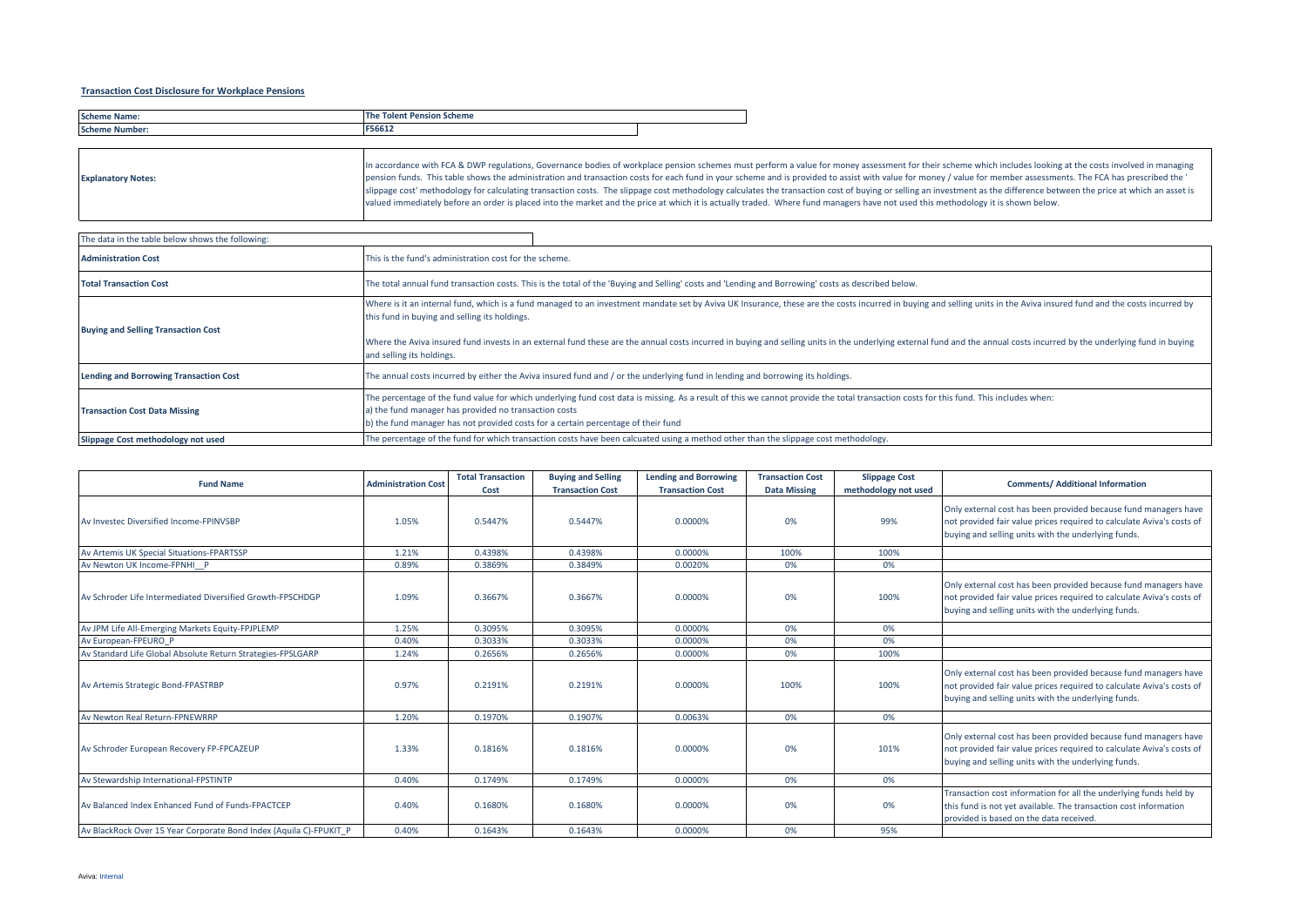## **Transaction Cost Disclosure for Workplace Pensions**

| <b>Schem</b><br>Name   | Pension<br>ı Scheme<br><b>The</b><br><b>Tolen</b> |  |
|------------------------|---------------------------------------------------|--|
| <b>Schem</b><br>Number | ----<br>-300T-                                    |  |

| <b>Explanatory Notes:</b> | In accordance with FCA & DWP regulations, Governance bodies of workplace pension schemes must perform a value for money assessment for their scheme which includes looking at the costs involved in managing<br>pension funds. This table shows the administration and transaction costs for each fund in your scheme and is provided to assist with value for money / value for member assessments. The FCA has prescribed the '<br>slippage cost' methodology for calculating transaction costs. The slippage cost methodology calculates the transaction cost of buying or selling an investment as the difference between the price at which an asset is<br>valued immediately before an order is placed into the market and the price at which it is actually traded. Where fund managers have not used this methodology it is shown below. |
|---------------------------|--------------------------------------------------------------------------------------------------------------------------------------------------------------------------------------------------------------------------------------------------------------------------------------------------------------------------------------------------------------------------------------------------------------------------------------------------------------------------------------------------------------------------------------------------------------------------------------------------------------------------------------------------------------------------------------------------------------------------------------------------------------------------------------------------------------------------------------------------|
|                           |                                                                                                                                                                                                                                                                                                                                                                                                                                                                                                                                                                                                                                                                                                                                                                                                                                                  |

| The data in the table below shows the following: |                                                                                                                                                                                                                                                                                                                                                                                                                                                                                                                                 |  |  |  |  |  |  |
|--------------------------------------------------|---------------------------------------------------------------------------------------------------------------------------------------------------------------------------------------------------------------------------------------------------------------------------------------------------------------------------------------------------------------------------------------------------------------------------------------------------------------------------------------------------------------------------------|--|--|--|--|--|--|
| <b>Administration Cost</b>                       | This is the fund's administration cost for the scheme.                                                                                                                                                                                                                                                                                                                                                                                                                                                                          |  |  |  |  |  |  |
| <b>Total Transaction Cost</b>                    | The total annual fund transaction costs. This is the total of the 'Buying and Selling' costs and 'Lending and Borrowing' costs as described below.                                                                                                                                                                                                                                                                                                                                                                              |  |  |  |  |  |  |
| <b>Buying and Selling Transaction Cost</b>       | Where is it an internal fund, which is a fund managed to an investment mandate set by Aviva UK Insurance, these are the costs incurred in buying and selling units in the Aviva insured fund and the costs incurred by<br>this fund in buying and selling its holdings.<br>Where the Aviva insured fund invests in an external fund these are the annual costs incurred in buying and selling units in the underlying external fund and the annual costs incurred by the underlying fund in buying<br>and selling its holdings. |  |  |  |  |  |  |
| <b>Lending and Borrowing Transaction Cost</b>    | The annual costs incurred by either the Aviva insured fund and / or the underlying fund in lending and borrowing its holdings.                                                                                                                                                                                                                                                                                                                                                                                                  |  |  |  |  |  |  |
| <b>Transaction Cost Data Missing</b>             | The percentage of the fund value for which underlying fund cost data is missing. As a result of this we cannot provide the total transaction costs for this fund. This includes when:<br>a) the fund manager has provided no transaction costs<br>b) the fund manager has not provided costs for a certain percentage of their fund                                                                                                                                                                                             |  |  |  |  |  |  |
| Slippage Cost methodology not used               | The percentage of the fund for which transaction costs have been calcuated using a method other than the slippage cost methodology.                                                                                                                                                                                                                                                                                                                                                                                             |  |  |  |  |  |  |

| <b>Fund Name</b>                                                   | <b>Administration Cost</b> | <b>Total Transaction</b><br>Cost | <b>Buying and Selling</b><br><b>Transaction Cost</b> | <b>Lending and Borrowing</b><br><b>Transaction Cost</b> | <b>Transaction Cost</b><br><b>Data Missing</b> | <b>Slippage Cost</b><br>methodology not used | <b>Comments/ Additional Information</b>                                                                                                                                                         |
|--------------------------------------------------------------------|----------------------------|----------------------------------|------------------------------------------------------|---------------------------------------------------------|------------------------------------------------|----------------------------------------------|-------------------------------------------------------------------------------------------------------------------------------------------------------------------------------------------------|
| Av Investec Diversified Income-FPINVSBP                            | 1.05%                      | 0.5447%                          | 0.5447%                                              | 0.0000%                                                 | 0%                                             | 99%                                          | Only external cost has been provided because fund managers have<br>not provided fair value prices required to calculate Aviva's costs of<br>buying and selling units with the underlying funds. |
| Av Artemis UK Special Situations-FPARTSSP                          | 1.21%                      | 0.4398%                          | 0.4398%                                              | 0.0000%                                                 | 100%                                           | 100%                                         |                                                                                                                                                                                                 |
| Av Newton UK Income-FPNHI P                                        | 0.89%                      | 0.3869%                          | 0.3849%                                              | 0.0020%                                                 | 0%                                             | 0%                                           |                                                                                                                                                                                                 |
| Av Schroder Life Intermediated Diversified Growth-FPSCHDGP         | 1.09%                      | 0.3667%                          | 0.3667%                                              | 0.0000%                                                 | 0%                                             | 100%                                         | Only external cost has been provided because fund managers have<br>not provided fair value prices required to calculate Aviva's costs of<br>buying and selling units with the underlying funds. |
| Av JPM Life All-Emerging Markets Equity-FPJPLEMP                   | 1.25%                      | 0.3095%                          | 0.3095%                                              | 0.0000%                                                 | 0%                                             | 0%                                           |                                                                                                                                                                                                 |
| Av European-FPEURO P                                               | 0.40%                      | 0.3033%                          | 0.3033%                                              | 0.0000%                                                 | 0%                                             | 0%                                           |                                                                                                                                                                                                 |
| Av Standard Life Global Absolute Return Strategies-FPSLGARP        | 1.24%                      | 0.2656%                          | 0.2656%                                              | 0.0000%                                                 | 0%                                             | 100%                                         |                                                                                                                                                                                                 |
| Av Artemis Strategic Bond-FPASTRBP                                 | 0.97%                      | 0.2191%                          | 0.2191%                                              | 0.0000%                                                 | 100%                                           | 100%                                         | Only external cost has been provided because fund managers have<br>not provided fair value prices required to calculate Aviva's costs of<br>buying and selling units with the underlying funds. |
| Av Newton Real Return-FPNEWRRP                                     | 1.20%                      | 0.1970%                          | 0.1907%                                              | 0.0063%                                                 | 0%                                             | 0%                                           |                                                                                                                                                                                                 |
| Av Schroder European Recovery FP-FPCAZEUP                          | 1.33%                      | 0.1816%                          | 0.1816%                                              | 0.0000%                                                 | 0%                                             | 101%                                         | Only external cost has been provided because fund managers have<br>not provided fair value prices required to calculate Aviva's costs of<br>buying and selling units with the underlying funds. |
| Av Stewardship International-FPSTINTP                              | 0.40%                      | 0.1749%                          | 0.1749%                                              | 0.0000%                                                 | 0%                                             | 0%                                           |                                                                                                                                                                                                 |
| Av Balanced Index Enhanced Fund of Funds-FPACTCEP                  | 0.40%                      | 0.1680%                          | 0.1680%                                              | 0.0000%                                                 | 0%                                             | 0%                                           | Transaction cost information for all the underlying funds held by<br>this fund is not yet available. The transaction cost information<br>provided is based on the data received                 |
| Av BlackRock Over 15 Year Corporate Bond Index (Aquila C)-FPUKIT P | 0.40%                      | 0.1643%                          | 0.1643%                                              | 0.0000%                                                 | 0%                                             | 95%                                          |                                                                                                                                                                                                 |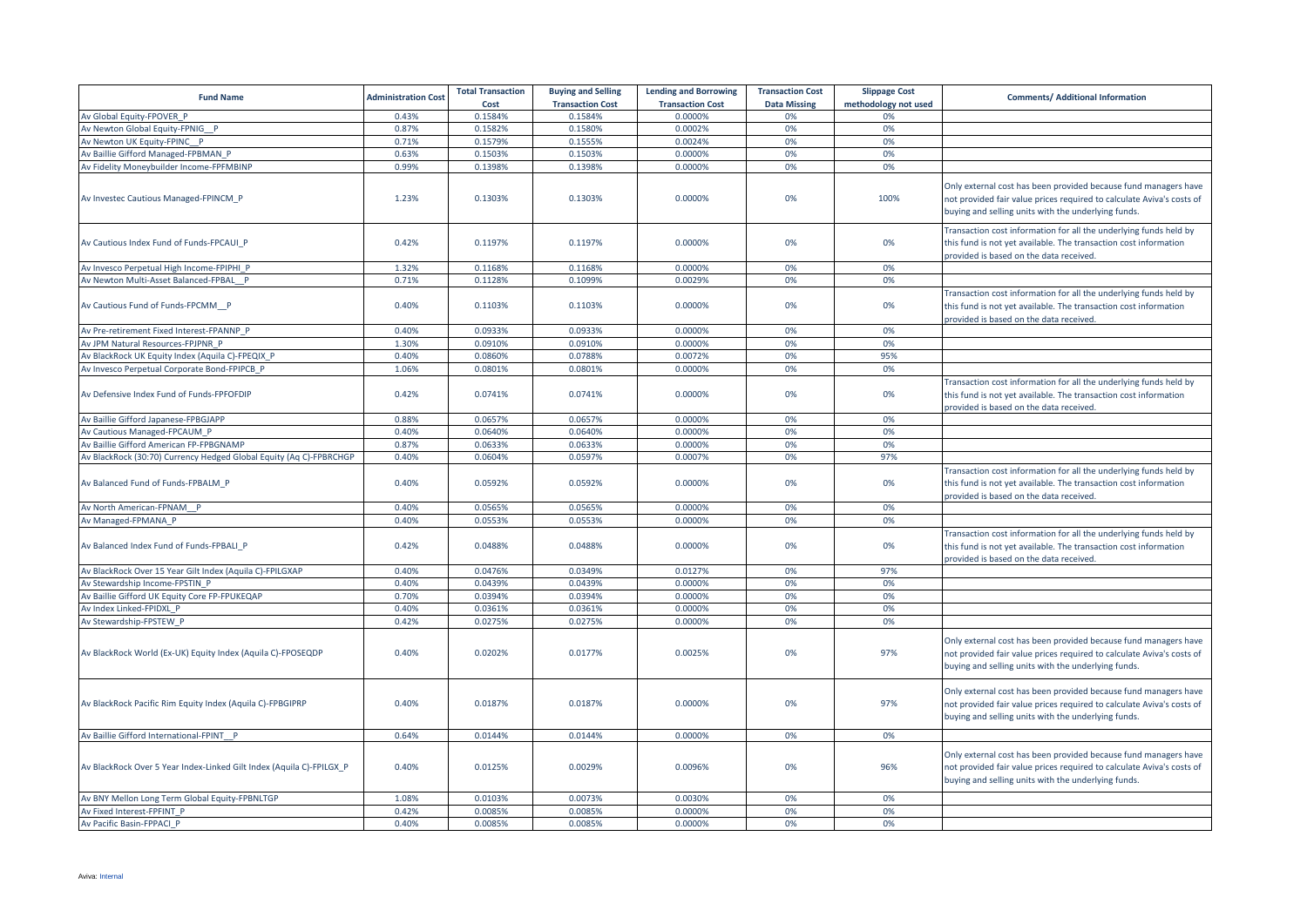| <b>Fund Name</b>                                                     | <b>Administration Cost</b> | <b>Total Transaction</b><br>Cost | <b>Buying and Selling</b><br><b>Transaction Cost</b> | <b>Lending and Borrowing</b><br><b>Transaction Cost</b> | <b>Transaction Cost</b><br><b>Data Missing</b> | <b>Slippage Cost</b><br>methodology not used | <b>Comments/ Additional Information</b>                                                                                                                                                         |
|----------------------------------------------------------------------|----------------------------|----------------------------------|------------------------------------------------------|---------------------------------------------------------|------------------------------------------------|----------------------------------------------|-------------------------------------------------------------------------------------------------------------------------------------------------------------------------------------------------|
| Av Global Equity-FPOVER P                                            | 0.43%                      | 0.1584%                          | 0.1584%                                              | 0.0000%                                                 | 0%                                             | 0%                                           |                                                                                                                                                                                                 |
| Av Newton Global Equity-FPNIG P                                      | 0.87%                      | 0.1582%                          | 0.1580%                                              | 0.0002%                                                 | 0%                                             | 0%                                           |                                                                                                                                                                                                 |
| Av Newton UK Equity-FPINC P                                          | 0.71%                      | 0.1579%                          | 0.1555%                                              | 0.0024%                                                 | 0%                                             | 0%                                           |                                                                                                                                                                                                 |
| Av Baillie Gifford Managed-FPBMAN P                                  | 0.63%                      | 0.1503%                          | 0.1503%                                              | 0.0000%                                                 | 0%                                             | 0%                                           |                                                                                                                                                                                                 |
| Av Fidelity Moneybuilder Income-FPFMBINP                             | 0.99%                      | 0.1398%                          | 0.1398%                                              | 0.0000%                                                 | 0%                                             | 0%                                           |                                                                                                                                                                                                 |
| Av Investec Cautious Managed-FPINCM P                                | 1.23%                      | 0.1303%                          | 0.1303%                                              | 0.0000%                                                 | 0%                                             | 100%                                         | Only external cost has been provided because fund managers have<br>not provided fair value prices required to calculate Aviva's costs of<br>buying and selling units with the underlying funds. |
| Av Cautious Index Fund of Funds-FPCAUI P                             | 0.42%                      | 0.1197%                          | 0.1197%                                              | 0.0000%                                                 | 0%                                             | 0%                                           | Transaction cost information for all the underlying funds held by<br>this fund is not yet available. The transaction cost information<br>provided is based on the data received.                |
| Av Invesco Perpetual High Income-FPIPHI_P                            | 1.32%                      | 0.1168%                          | 0.1168%                                              | 0.0000%                                                 | 0%                                             | 0%                                           |                                                                                                                                                                                                 |
| Av Newton Multi-Asset Balanced-FPBAL P                               | 0.71%                      | 0.1128%                          | 0.1099%                                              | 0.0029%                                                 | 0%                                             | 0%                                           |                                                                                                                                                                                                 |
| Av Cautious Fund of Funds-FPCMM P                                    | 0.40%                      | 0.1103%                          | 0.1103%                                              | 0.0000%                                                 | 0%                                             | 0%                                           | Transaction cost information for all the underlying funds held by<br>this fund is not yet available. The transaction cost information<br>provided is based on the data received.                |
| Av Pre-retirement Fixed Interest-FPANNP P                            | 0.40%                      | 0.0933%                          | 0.0933%                                              | 0.0000%                                                 | 0%                                             | 0%                                           |                                                                                                                                                                                                 |
| Av JPM Natural Resources-FPJPNR P                                    | 1.30%                      | 0.0910%                          | 0.0910%                                              | 0.0000%                                                 | 0%                                             | 0%                                           |                                                                                                                                                                                                 |
| Av BlackRock UK Equity Index (Aquila C)-FPEQIX P                     | 0.40%                      | 0.0860%                          | 0.0788%                                              | 0.0072%                                                 | 0%                                             | 95%                                          |                                                                                                                                                                                                 |
| Av Invesco Perpetual Corporate Bond-FPIPCB P                         | 1.06%                      | 0.0801%                          | 0.0801%                                              | 0.0000%                                                 | 0%                                             | 0%                                           |                                                                                                                                                                                                 |
| Av Defensive Index Fund of Funds-FPFOFDIP                            | 0.42%                      | 0.0741%                          | 0.0741%                                              | 0.0000%                                                 | 0%                                             | 0%                                           | Transaction cost information for all the underlying funds held by<br>this fund is not yet available. The transaction cost information<br>provided is based on the data received.                |
| Av Baillie Gifford Japanese-FPBGJAPP                                 | 0.88%                      | 0.0657%                          | 0.0657%                                              | 0.0000%                                                 | 0%                                             | 0%                                           |                                                                                                                                                                                                 |
| Av Cautious Managed-FPCAUM P                                         | 0.40%                      | 0.0640%                          | 0.0640%                                              | 0.0000%                                                 | 0%                                             | 0%                                           |                                                                                                                                                                                                 |
| Av Baillie Gifford American FP-FPBGNAMP                              | 0.87%                      | 0.0633%                          | 0.0633%                                              | 0.0000%                                                 | 0%                                             | 0%                                           |                                                                                                                                                                                                 |
| Av BlackRock (30:70) Currency Hedged Global Equity (Aq C)-FPBRCHGP   | 0.40%                      | 0.0604%                          | 0.0597%                                              | 0.0007%                                                 | 0%                                             | 97%                                          |                                                                                                                                                                                                 |
| Av Balanced Fund of Funds-FPBALM P                                   | 0.40%                      | 0.0592%                          | 0.0592%                                              | 0.0000%                                                 | 0%                                             | 0%                                           | Transaction cost information for all the underlying funds held by<br>this fund is not yet available. The transaction cost information<br>provided is based on the data received.                |
| Av North American-FPNAM P                                            | 0.40%                      | 0.0565%                          | 0.0565%                                              | 0.0000%                                                 | 0%                                             | 0%                                           |                                                                                                                                                                                                 |
| Av Managed-FPMANA P                                                  | 0.40%                      | 0.0553%                          | 0.0553%                                              | 0.0000%                                                 | 0%                                             | 0%                                           |                                                                                                                                                                                                 |
| Av Balanced Index Fund of Funds-FPBALI P                             | 0.42%                      | 0.0488%                          | 0.0488%                                              | 0.0000%                                                 | 0%                                             | 0%                                           | Transaction cost information for all the underlying funds held by<br>this fund is not yet available. The transaction cost information<br>provided is based on the data received.                |
| Av BlackRock Over 15 Year Gilt Index (Aquila C)-FPILGXAP             | 0.40%                      | 0.0476%                          | 0.0349%                                              | 0.0127%                                                 | 0%                                             | 97%                                          |                                                                                                                                                                                                 |
| Av Stewardship Income-FPSTIN P                                       | 0.40%                      | 0.0439%                          | 0.0439%                                              | 0.0000%                                                 | 0%                                             | 0%                                           |                                                                                                                                                                                                 |
| Av Baillie Gifford UK Equity Core FP-FPUKEQAP                        | 0.70%                      | 0.0394%                          | 0.0394%                                              | 0.0000%                                                 | 0%                                             | 0%                                           |                                                                                                                                                                                                 |
| Av Index Linked-FPIDXL P                                             | 0.40%                      | 0.0361%                          | 0.0361%                                              | 0.0000%                                                 | 0%                                             | 0%                                           |                                                                                                                                                                                                 |
| Av Stewardship-FPSTEW P                                              | 0.42%                      | 0.0275%                          | 0.0275%                                              | 0.0000%                                                 | 0%                                             | 0%                                           |                                                                                                                                                                                                 |
| Av BlackRock World (Ex-UK) Equity Index (Aquila C)-FPOSEQDP          | 0.40%                      | 0.0202%                          | 0.0177%                                              | 0.0025%                                                 | 0%                                             | 97%                                          | Only external cost has been provided because fund managers have<br>not provided fair value prices required to calculate Aviva's costs of<br>buying and selling units with the underlying funds. |
| Av BlackRock Pacific Rim Equity Index (Aquila C)-FPBGIPRP            | 0.40%                      | 0.0187%                          | 0.0187%                                              | 0.0000%                                                 | 0%                                             | 97%                                          | Only external cost has been provided because fund managers have<br>not provided fair value prices required to calculate Aviva's costs of<br>buying and selling units with the underlying funds. |
| Av Baillie Gifford International-FPINT P                             | 0.64%                      | 0.0144%                          | 0.0144%                                              | 0.0000%                                                 | 0%                                             | 0%                                           |                                                                                                                                                                                                 |
| Av BlackRock Over 5 Year Index-Linked Gilt Index (Aquila C)-FPILGX P | 0.40%                      | 0.0125%                          | 0.0029%                                              | 0.0096%                                                 | 0%                                             | 96%                                          | Only external cost has been provided because fund managers have<br>not provided fair value prices required to calculate Aviva's costs of<br>buying and selling units with the underlying funds. |
| Av BNY Mellon Long Term Global Equity-FPBNLTGP                       | 1.08%                      | 0.0103%                          | 0.0073%                                              | 0.0030%                                                 | 0%                                             | 0%                                           |                                                                                                                                                                                                 |
| Av Fixed Interest-FPFINT P                                           | 0.42%                      | 0.0085%                          | 0.0085%                                              | 0.0000%                                                 | 0%                                             | 0%                                           |                                                                                                                                                                                                 |
| Av Pacific Basin-FPPACI P                                            | 0.40%                      | 0.0085%                          | 0.0085%                                              | 0.0000%                                                 | 0%                                             | 0%                                           |                                                                                                                                                                                                 |